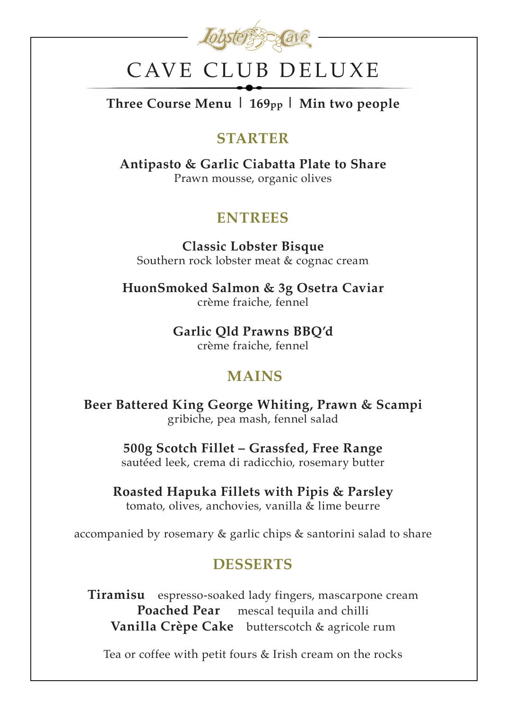

# CAVE CLUB DELUXE

#### **Three Course Menu | 169pp | Min two people**

### **STARTER**

**Antipasto & Garlic Ciabatta Plate to Share**  Prawn mousse, organic olives

## **ENTREES**

**Classic Lobster Bisque** Southern rock lobster meat & cognac cream

**HuonSmoked Salmon & 3g Osetra Caviar** crème fraiche, fennel

> **Garlic Qld Prawns BBQ'd**  crème fraiche, fennel

### **MAINS**

**Beer Battered King George Whiting, Prawn & Scampi**  gribiche, pea mash, fennel salad

> **500g Scotch Fillet – Grassfed, Free Range**  sautéed leek, crema di radicchio, rosemary butter

**Roasted Hapuka Fillets with Pipis & Parsley**  tomato, olives, anchovies, vanilla & lime beurre

accompanied by rosemary & garlic chips & santorini salad to share

# **DESSERTS**

**Tiramisu** espresso-soaked lady fingers, mascarpone cream Poached Pear mescal tequila and chilli **Vanilla Crèpe Cake** butterscotch & agricole rum

Tea or coffee with petit fours & Irish cream on the rocks